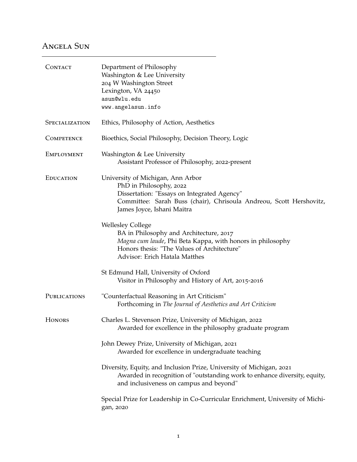## Angela Sun

| CONTACT               | Department of Philosophy<br>Washington & Lee University<br>204 W Washington Street<br>Lexington, VA 24450<br>asun@wlu.edu<br>www.angelasun.info                                                                   |
|-----------------------|-------------------------------------------------------------------------------------------------------------------------------------------------------------------------------------------------------------------|
| <b>SPECIALIZATION</b> | Ethics, Philosophy of Action, Aesthetics                                                                                                                                                                          |
| <b>COMPETENCE</b>     | Bioethics, Social Philosophy, Decision Theory, Logic                                                                                                                                                              |
| EMPLOYMENT            | Washington & Lee University<br>Assistant Professor of Philosophy, 2022-present                                                                                                                                    |
| <b>EDUCATION</b>      | University of Michigan, Ann Arbor<br>PhD in Philosophy, 2022<br>Dissertation: "Essays on Integrated Agency"<br>Committee: Sarah Buss (chair), Chrisoula Andreou, Scott Hershovitz,<br>James Joyce, Ishani Maitra  |
|                       | <b>Wellesley College</b><br>BA in Philosophy and Architecture, 2017<br>Magna cum laude, Phi Beta Kappa, with honors in philosophy<br>Honors thesis: "The Values of Architecture"<br>Advisor: Erich Hatala Matthes |
|                       | St Edmund Hall, University of Oxford<br>Visitor in Philosophy and History of Art, 2015-2016                                                                                                                       |
| PUBLICATIONS          | "Counterfactual Reasoning in Art Criticism"<br>Forthcoming in The Journal of Aesthetics and Art Criticism                                                                                                         |
| <b>HONORS</b>         | Charles L. Stevenson Prize, University of Michigan, 2022<br>Awarded for excellence in the philosophy graduate program                                                                                             |
|                       | John Dewey Prize, University of Michigan, 2021<br>Awarded for excellence in undergraduate teaching                                                                                                                |
|                       | Diversity, Equity, and Inclusion Prize, University of Michigan, 2021<br>Awarded in recognition of "outstanding work to enhance diversity, equity,<br>and inclusiveness on campus and beyond"                      |
|                       | Special Prize for Leadership in Co-Curricular Enrichment, University of Michi-<br>gan, 2020                                                                                                                       |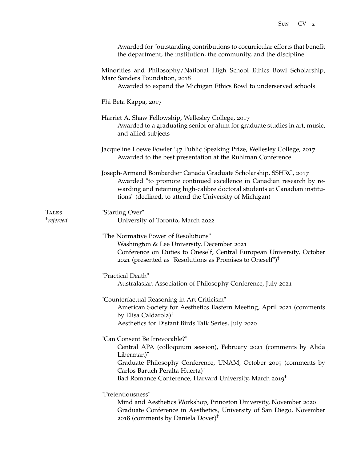|                                       | Awarded for "outstanding contributions to cocurricular efforts that benefit<br>the department, the institution, the community, and the discipline"                                                                                                                                                                                 |
|---------------------------------------|------------------------------------------------------------------------------------------------------------------------------------------------------------------------------------------------------------------------------------------------------------------------------------------------------------------------------------|
|                                       | Minorities and Philosophy/National High School Ethics Bowl Scholarship,<br>Marc Sanders Foundation, 2018<br>Awarded to expand the Michigan Ethics Bowl to underserved schools                                                                                                                                                      |
|                                       | Phi Beta Kappa, 2017                                                                                                                                                                                                                                                                                                               |
|                                       | Harriet A. Shaw Fellowship, Wellesley College, 2017<br>Awarded to a graduating senior or alum for graduate studies in art, music,<br>and allied subjects                                                                                                                                                                           |
|                                       | Jacqueline Loewe Fowler '47 Public Speaking Prize, Wellesley College, 2017<br>Awarded to the best presentation at the Ruhlman Conference                                                                                                                                                                                           |
|                                       | Joseph-Armand Bombardier Canada Graduate Scholarship, SSHRC, 2017<br>Awarded "to promote continued excellence in Canadian research by re-<br>warding and retaining high-calibre doctoral students at Canadian institu-<br>tions" (declined, to attend the University of Michigan)                                                  |
| <b>TALKS</b><br><sup>†</sup> refereed | "Starting Over"<br>University of Toronto, March 2022                                                                                                                                                                                                                                                                               |
|                                       | "The Normative Power of Resolutions"<br>Washington & Lee University, December 2021<br>Conference on Duties to Oneself, Central European University, October<br>2021 (presented as "Resolutions as Promises to Oneself") <sup>†</sup>                                                                                               |
|                                       | "Practical Death"<br>Australasian Association of Philosophy Conference, July 2021                                                                                                                                                                                                                                                  |
|                                       | "Counterfactual Reasoning in Art Criticism"<br>American Society for Aesthetics Eastern Meeting, April 2021 (comments<br>by Elisa Caldarola) <sup>†</sup><br>Aesthetics for Distant Birds Talk Series, July 2020                                                                                                                    |
|                                       | "Can Consent Be Irrevocable?"<br>Central APA (colloquium session), February 2021 (comments by Alida<br>Liberman) <sup><math>†</math></sup><br>Graduate Philosophy Conference, UNAM, October 2019 (comments by<br>Carlos Baruch Peralta Huerta) <sup>†</sup><br>Bad Romance Conference, Harvard University, March 2019 <sup>†</sup> |
|                                       | "Pretentiousness"<br>Mind and Aesthetics Workshop, Princeton University, November 2020<br>Graduate Conference in Aesthetics, University of San Diego, November<br>2018 (comments by Daniela Dover) <sup>†</sup>                                                                                                                    |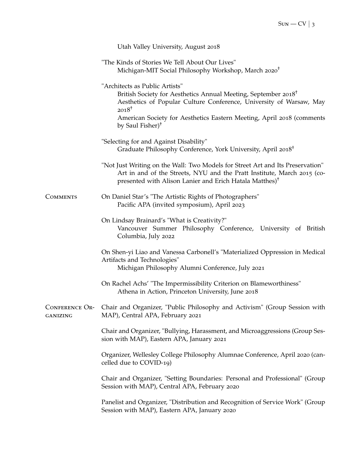|                                   | Utah Valley University, August 2018                                                                                                                                                                                                                                                                      |
|-----------------------------------|----------------------------------------------------------------------------------------------------------------------------------------------------------------------------------------------------------------------------------------------------------------------------------------------------------|
|                                   | "The Kinds of Stories We Tell About Our Lives"<br>Michigan-MIT Social Philosophy Workshop, March 2020 <sup>†</sup>                                                                                                                                                                                       |
|                                   | "Architects as Public Artists"<br>British Society for Aesthetics Annual Meeting, September 2018 <sup>†</sup><br>Aesthetics of Popular Culture Conference, University of Warsaw, May<br>$2018^+$<br>American Society for Aesthetics Eastern Meeting, April 2018 (comments<br>by Saul Fisher) <sup>†</sup> |
|                                   | "Selecting for and Against Disability"<br>Graduate Philosophy Conference, York University, April 2018 <sup>†</sup>                                                                                                                                                                                       |
|                                   | "Not Just Writing on the Wall: Two Models for Street Art and Its Preservation"<br>Art in and of the Streets, NYU and the Pratt Institute, March 2015 (co-<br>presented with Alison Lanier and Erich Hatala Matthes) <sup>†</sup>                                                                         |
| <b>COMMENTS</b>                   | On Daniel Star's "The Artistic Rights of Photographers"<br>Pacific APA (invited symposium), April 2023                                                                                                                                                                                                   |
|                                   | On Lindsay Brainard's "What is Creativity?"<br>Vancouver Summer Philosophy Conference, University of British<br>Columbia, July 2022                                                                                                                                                                      |
|                                   | On Shen-yi Liao and Vanessa Carbonell's "Materialized Oppression in Medical<br>Artifacts and Technologies"<br>Michigan Philosophy Alumni Conference, July 2021                                                                                                                                           |
|                                   | On Rachel Achs' "The Impermissibility Criterion on Blameworthiness"<br>Athena in Action, Princeton University, June 2018                                                                                                                                                                                 |
| <b>CONFERENCE OR-</b><br>GANIZING | Chair and Organizer, "Public Philosophy and Activism" (Group Session with<br>MAP), Central APA, February 2021                                                                                                                                                                                            |
|                                   | Chair and Organizer, "Bullying, Harassment, and Microaggressions (Group Ses-<br>sion with MAP), Eastern APA, January 2021                                                                                                                                                                                |
|                                   | Organizer, Wellesley College Philosophy Alumnae Conference, April 2020 (can-<br>celled due to COVID-19)                                                                                                                                                                                                  |
|                                   | Chair and Organizer, "Setting Boundaries: Personal and Professional" (Group<br>Session with MAP), Central APA, February 2020                                                                                                                                                                             |
|                                   | Panelist and Organizer, "Distribution and Recognition of Service Work" (Group<br>Session with MAP), Eastern APA, January 2020                                                                                                                                                                            |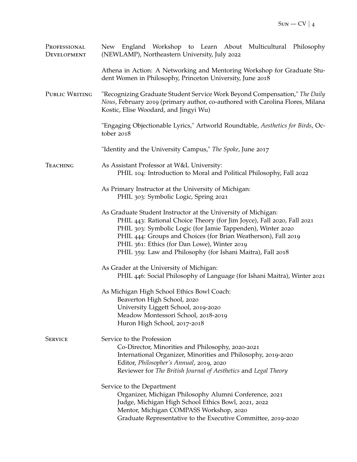| PROFESSIONAL<br>DEVELOPMENT | New England Workshop to Learn About Multicultural Philosophy<br>(NEWLAMP), Northeastern University, July 2022                                                                                                                                                                                                                                                                           |
|-----------------------------|-----------------------------------------------------------------------------------------------------------------------------------------------------------------------------------------------------------------------------------------------------------------------------------------------------------------------------------------------------------------------------------------|
|                             | Athena in Action: A Networking and Mentoring Workshop for Graduate Stu-<br>dent Women in Philosophy, Princeton University, June 2018                                                                                                                                                                                                                                                    |
| PUBLIC WRITING              | "Recognizing Graduate Student Service Work Beyond Compensation," The Daily<br>Nous, February 2019 (primary author, co-authored with Carolina Flores, Milana<br>Kostic, Elise Woodard, and Jingyi Wu)                                                                                                                                                                                    |
|                             | "Engaging Objectionable Lyrics," Artworld Roundtable, Aesthetics for Birds, Oc-<br>tober 2018                                                                                                                                                                                                                                                                                           |
|                             | "Identity and the University Campus," The Spoke, June 2017                                                                                                                                                                                                                                                                                                                              |
| <b>TEACHING</b>             | As Assistant Professor at W&L University:<br>PHIL 104: Introduction to Moral and Political Philosophy, Fall 2022                                                                                                                                                                                                                                                                        |
|                             | As Primary Instructor at the University of Michigan:<br>PHIL 303: Symbolic Logic, Spring 2021                                                                                                                                                                                                                                                                                           |
|                             | As Graduate Student Instructor at the University of Michigan:<br>PHIL 443: Rational Choice Theory (for Jim Joyce), Fall 2020, Fall 2021<br>PHIL 303: Symbolic Logic (for Jamie Tappenden), Winter 2020<br>PHIL 444: Groups and Choices (for Brian Weatherson), Fall 2019<br>PHIL 361: Ethics (for Dan Lowe), Winter 2019<br>PHIL 359: Law and Philosophy (for Ishani Maitra), Fall 2018 |
|                             | As Grader at the University of Michigan:<br>PHIL 446: Social Philosophy of Language (for Ishani Maitra), Winter 2021                                                                                                                                                                                                                                                                    |
|                             | As Michigan High School Ethics Bowl Coach:<br>Beaverton High School, 2020<br>University Liggett School, 2019-2020<br>Meadow Montessori School, 2018-2019<br>Huron High School, 2017-2018                                                                                                                                                                                                |
| <b>SERVICE</b>              | Service to the Profession<br>Co-Director, Minorities and Philosophy, 2020-2021<br>International Organizer, Minorities and Philosophy, 2019-2020<br>Editor, Philosopher's Annual, 2019, 2020<br>Reviewer for The British Journal of Aesthetics and Legal Theory                                                                                                                          |
|                             | Service to the Department<br>Organizer, Michigan Philosophy Alumni Conference, 2021<br>Judge, Michigan High School Ethics Bowl, 2021, 2022<br>Mentor, Michigan COMPASS Workshop, 2020<br>Graduate Representative to the Executive Committee, 2019-2020                                                                                                                                  |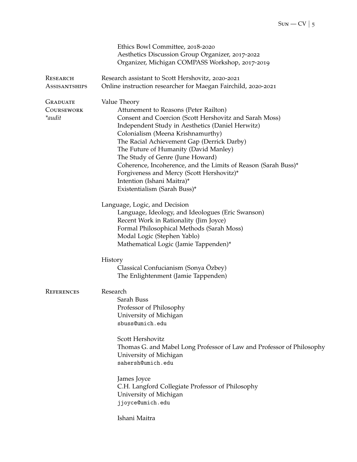|                      | Ethics Bowl Committee, 2018-2020                                      |
|----------------------|-----------------------------------------------------------------------|
|                      | Aesthetics Discussion Group Organizer, 2017-2022                      |
|                      | Organizer, Michigan COMPASS Workshop, 2017-2019                       |
| RESEARCH             | Research assistant to Scott Hershovitz, 2020-2021                     |
| <b>ASSISANTSHIPS</b> | Online instruction researcher for Maegan Fairchild, 2020-2021         |
| <b>GRADUATE</b>      | Value Theory                                                          |
| COURSEWORK           | Attunement to Reasons (Peter Railton)                                 |
| *audit               | Consent and Coercion (Scott Hershovitz and Sarah Moss)                |
|                      | Independent Study in Aesthetics (Daniel Herwitz)                      |
|                      | Colonialism (Meena Krishnamurthy)                                     |
|                      | The Racial Achievement Gap (Derrick Darby)                            |
|                      | The Future of Humanity (David Manley)                                 |
|                      | The Study of Genre (June Howard)                                      |
|                      | Coherence, Incoherence, and the Limits of Reason (Sarah Buss)*        |
|                      | Forgiveness and Mercy (Scott Hershovitz)*                             |
|                      | Intention (Ishani Maitra)*                                            |
|                      | Existentialism (Sarah Buss)*                                          |
|                      | Language, Logic, and Decision                                         |
|                      | Language, Ideology, and Ideologues (Eric Swanson)                     |
|                      | Recent Work in Rationality (Jim Joyce)                                |
|                      | Formal Philosophical Methods (Sarah Moss)                             |
|                      | Modal Logic (Stephen Yablo)                                           |
|                      | Mathematical Logic (Jamie Tappenden)*                                 |
|                      | History                                                               |
|                      | Classical Confucianism (Sonya Özbey)                                  |
|                      | The Enlightenment (Jamie Tappenden)                                   |
| <b>REFERENCES</b>    | Research                                                              |
|                      | Sarah Buss                                                            |
|                      | Professor of Philosophy                                               |
|                      | University of Michigan                                                |
|                      | sbuss@umich.edu                                                       |
|                      | Scott Hershovitz                                                      |
|                      | Thomas G. and Mabel Long Professor of Law and Professor of Philosophy |
|                      | University of Michigan                                                |
|                      | sahersh@umich.edu                                                     |
|                      | James Joyce                                                           |
|                      | C.H. Langford Collegiate Professor of Philosophy                      |
|                      | University of Michigan                                                |
|                      | jjoyce@umich.edu                                                      |
|                      | Ishani Maitra                                                         |